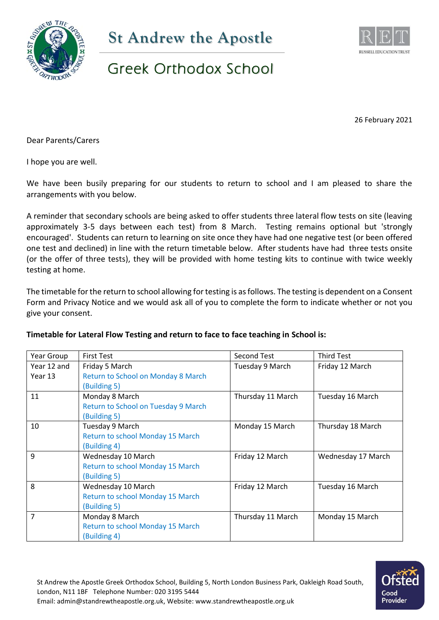



## Greek Orthodox School

26 February 2021

Dear Parents/Carers

I hope you are well.

We have been busily preparing for our students to return to school and I am pleased to share the arrangements with you below.

A reminder that secondary schools are being asked to offer students three lateral flow tests on site (leaving approximately 3-5 days between each test) from 8 March. Testing remains optional but 'strongly encouraged'. Students can return to learning on site once they have had one negative test (or been offered one test and declined) in line with the return timetable below. After students have had three tests onsite (or the offer of three tests), they will be provided with home testing kits to continue with twice weekly testing at home.

The timetable for the return to school allowing for testing is as follows. The testing is dependent on a Consent Form and Privacy Notice and we would ask all of you to complete the form to indicate whether or not you give your consent.

#### **Timetable for Lateral Flow Testing and return to face to face teaching in School is:**

| Year Group  | <b>First Test</b>                   | <b>Second Test</b> | <b>Third Test</b>  |
|-------------|-------------------------------------|--------------------|--------------------|
| Year 12 and | Friday 5 March                      | Tuesday 9 March    | Friday 12 March    |
| Year 13     | Return to School on Monday 8 March  |                    |                    |
|             | (Building 5)                        |                    |                    |
| 11          | Monday 8 March                      | Thursday 11 March  | Tuesday 16 March   |
|             | Return to School on Tuesday 9 March |                    |                    |
|             | (Building 5)                        |                    |                    |
| 10          | Tuesday 9 March                     | Monday 15 March    | Thursday 18 March  |
|             | Return to school Monday 15 March    |                    |                    |
|             | (Building 4)                        |                    |                    |
| 9           | Wednesday 10 March                  | Friday 12 March    | Wednesday 17 March |
|             | Return to school Monday 15 March    |                    |                    |
|             | (Building 5)                        |                    |                    |
| 8           | Wednesday 10 March                  | Friday 12 March    | Tuesday 16 March   |
|             | Return to school Monday 15 March    |                    |                    |
|             | <b>Building 5)</b>                  |                    |                    |
| 7           | Monday 8 March                      | Thursday 11 March  | Monday 15 March    |
|             | Return to school Monday 15 March    |                    |                    |
|             | (Building 4)                        |                    |                    |

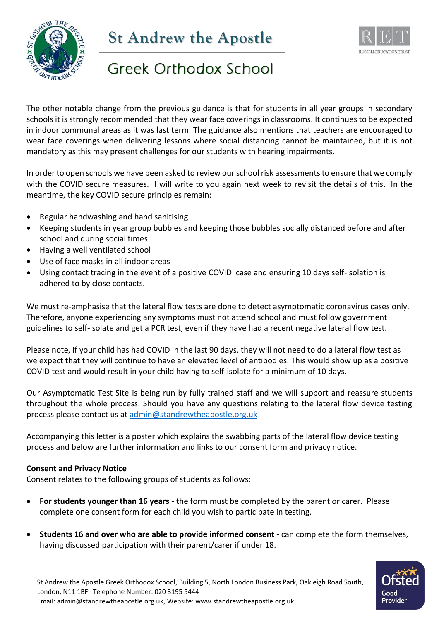

# **St Andrew the Apostle**



# Greek Orthodox School

The other notable change from the previous guidance is that for students in all year groups in secondary schools it is strongly recommended that they wear face coverings in classrooms. It continues to be expected in indoor communal areas as it was last term. The guidance also mentions that teachers are encouraged to wear face coverings when delivering lessons where social distancing cannot be maintained, but it is not mandatory as this may present challenges for our students with hearing impairments.

In order to open schools we have been asked to review our school risk assessments to ensure that we comply with the COVID secure measures. I will write to you again next week to revisit the details of this. In the meantime, the key COVID secure principles remain:

- Regular handwashing and hand sanitising
- Keeping students in year group bubbles and keeping those bubbles socially distanced before and after school and during social times
- Having a well ventilated school
- Use of face masks in all indoor areas
- Using contact tracing in the event of a positive COVID case and ensuring 10 days self-isolation is adhered to by close contacts.

We must re-emphasise that the lateral flow tests are done to detect asymptomatic coronavirus cases only. Therefore, anyone experiencing any symptoms must not attend school and must follow government guidelines to self-isolate and get a PCR test, even if they have had a recent negative lateral flow test.

Please note, if your child has had COVID in the last 90 days, they will not need to do a lateral flow test as we expect that they will continue to have an elevated level of antibodies. This would show up as a positive COVID test and would result in your child having to self-isolate for a minimum of 10 days.

Our Asymptomatic Test Site is being run by fully trained staff and we will support and reassure students throughout the whole process. Should you have any questions relating to the lateral flow device testing process please contact us at [admin@standrewtheapostle.org.uk](mailto:admin@standrewtheapostle.org.uk)

Accompanying this letter is a poster which explains the swabbing parts of the lateral flow device testing process and below are further information and links to our consent form and privacy notice.

### **Consent and Privacy Notice**

Consent relates to the following groups of students as follows:

- **For students younger than 16 years -** the form must be completed by the parent or carer. Please complete one consent form for each child you wish to participate in testing.
- **Students 16 and over who are able to provide informed consent -** can complete the form themselves, having discussed participation with their parent/carer if under 18.